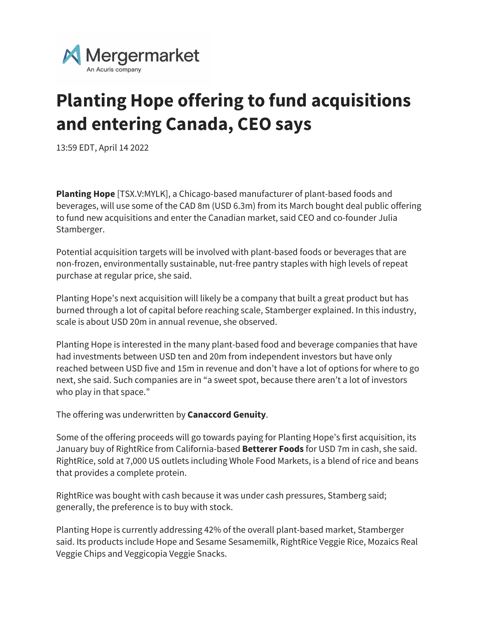

## **Planting Hope offering to fund acquisitions and entering Canada, CEO says**

13:59 EDT, April 14 2022

**Planting Hope** [TSX.V:MYLK], a Chicago-based manufacturer of plant-based foods and beverages, will use some of the CAD 8m (USD 6.3m) from its March bought deal public offering to fund new acquisitions and enter the Canadian market, said CEO and co-founder Julia Stamberger.

Potential acquisition targets will be involved with plant-based foods or beverages that are non-frozen, environmentally sustainable, nut-free pantry staples with high levels of repeat purchase at regular price, she said.

Planting Hope's next acquisition will likely be a company that built a great product but has burned through a lot of capital before reaching scale, Stamberger explained. In this industry, scale is about USD 20m in annual revenue, she observed.

Planting Hope is interested in the many plant-based food and beverage companies that have had investments between USD ten and 20m from independent investors but have only reached between USD five and 15m in revenue and don't have a lot of options for where to go next, she said. Such companies are in "a sweet spot, because there aren't a lot of investors who play in that space."

The offering was underwritten by **Canaccord Genuity**.

Some of the offering proceeds will go towards paying for Planting Hope's first acquisition, its January buy of RightRice from California-based **Betterer Foods** for USD 7m in cash, she said. RightRice, sold at 7,000 US outlets including Whole Food Markets, is a blend of rice and beans that provides a complete protein.

RightRice was bought with cash because it was under cash pressures, Stamberg said; generally, the preference is to buy with stock.

Planting Hope is currently addressing 42% of the overall plant-based market, Stamberger said. Its products include Hope and Sesame Sesamemilk, RightRice Veggie Rice, Mozaics Real Veggie Chips and Veggicopia Veggie Snacks.